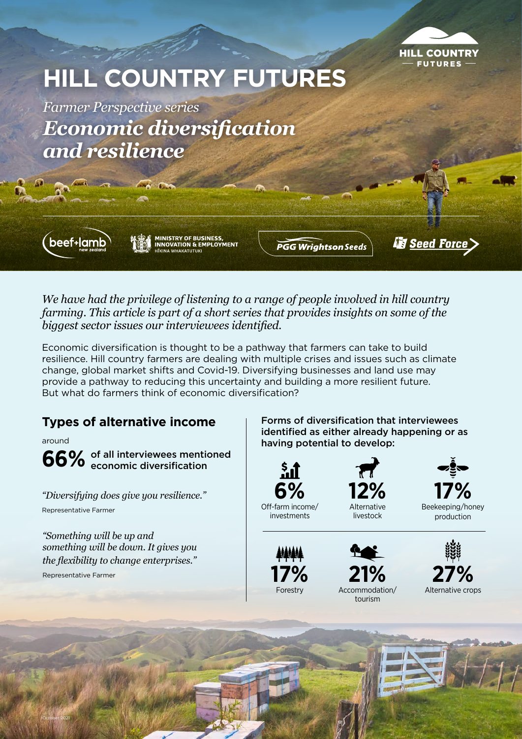

# **HILL COUNTRY FUTURES**

*Farmer Perspective series Economic diversification and resilience*

beef+lamb

**MINISTRY OF BUSINESS,<br>INNOVATION & EMPLOYMENT ITKINA WHAKATIITIIKI** 

**PGG Wrightson Seeds** 

*<u>is Seed Force</u>* 

*We have had the privilege of listening to a range of people involved in hill country farming. This article is part of a short series that provides insights on some of the biggest sector issues our interviewees identified.* 

Economic diversification is thought to be a pathway that farmers can take to build resilience. Hill country farmers are dealing with multiple crises and issues such as climate change, global market shifts and Covid-19. Diversifying businesses and land use may provide a pathway to reducing this uncertainty and building a more resilient future. But what do farmers think of economic diversification?

around

**66%** of all interviewees mentioned economic diversification economic diversification

*"Diversifying does give you resilience."* Representative Farmer

*"Something will be up and something will be down. It gives you the flexibility to change enterprises."* 

Representative Farmer

October 2021

**Types of alternative income** Forms of diversification that interviewees identified as either already happening or as having potential to develop:

livestock



investments





Beekeeping/honey production



**17% 21% 27%** Forestry Accommodation/ tourism